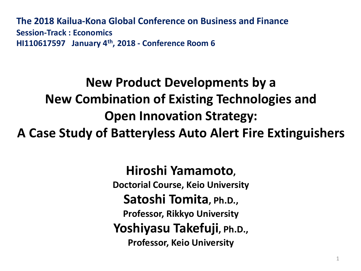**The 2018 Kailua-Kona Global Conference on Business and Finance Session-Track: Economics HI110617597 January 4th, 2018 - Conference Room 6** 

# **New Product Developments by a New Combination of Existing Technologies and Open Innovation Strategy:**

**A Case Study of Batteryless Auto Alert Fire Extinguishers**

**Hiroshi Yamamoto, Doctorial Course, Keio University** Satoshi Tomita, Ph.D., **Professor, Rikkyo University Yoshiyasu Takefuji, Ph.D., Professor, Keio University**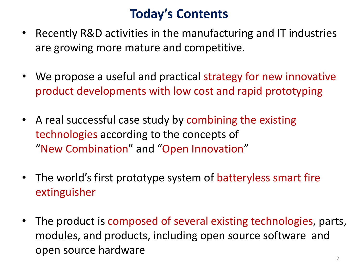### **Today's Contents**

- Recently R&D activities in the manufacturing and IT industries are growing more mature and competitive.
- We propose a useful and practical strategy for new innovative product developments with low cost and rapid prototyping
- A real successful case study by combining the existing technologies according to the concepts of "New Combination" and "Open Innovation"
- The world's first prototype system of batteryless smart fire extinguisher
- The product is composed of several existing technologies, parts, modules, and products, including open source software and open source hardware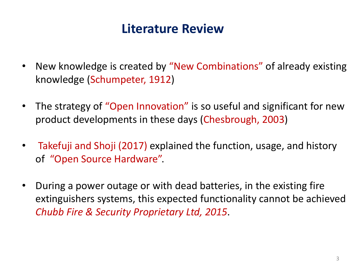#### **Literature Review**

- New knowledge is created by "New Combinations" of already existing knowledge (Schumpeter, 1912)
- The strategy of "Open Innovation" is so useful and significant for new product developments in these days (Chesbrough, 2003)
- Takefuji and Shoji (2017) explained the function, usage, and history of "Open Source Hardware".
- During a power outage or with dead batteries, in the existing fire extinguishers systems, this expected functionality cannot be achieved *Chubb Fire & Security Proprietary Ltd, 2015*.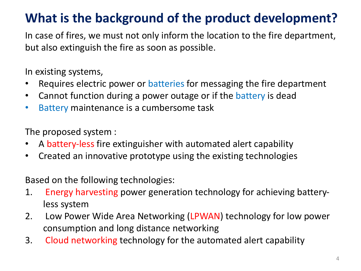## **What is the background of the product development?**

In case of fires, we must not only inform the location to the fire department, but also extinguish the fire as soon as possible.

In existing systems,

- Requires electric power or batteries for messaging the fire department
- Cannot function during a power outage or if the battery is dead
- Battery maintenance is a cumbersome task

The proposed system :

- A battery-less fire extinguisher with automated alert capability
- Created an innovative prototype using the existing technologies

Based on the following technologies:

- 1. Energy harvesting power generation technology for achieving batteryless system
- 2. Low Power Wide Area Networking (LPWAN) technology for low power consumption and long distance networking
- 3. Cloud networking technology for the automated alert capability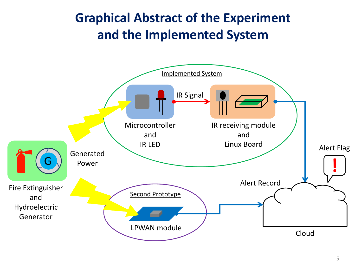## **Graphical Abstract of the Experiment** and the Implemented System

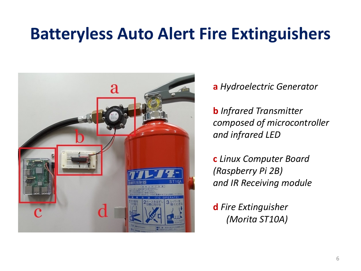## **Batteryless Auto Alert Fire Extinguishers**



**a** *Hydroelectric Generator*

**b** Infrared Transmitter composed of microcontroller and infrared LED

**c** *Linux Computer Board (Raspberry Pi 2B) and IR Receiving module*

**d** Fire Extinguisher *(Morita ST10A)*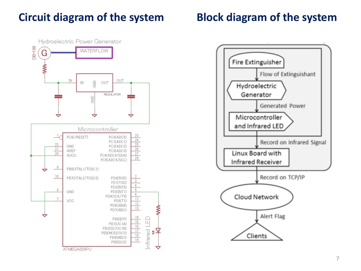#### **Circuit diagram of the system**



#### **Block diagram of the system**

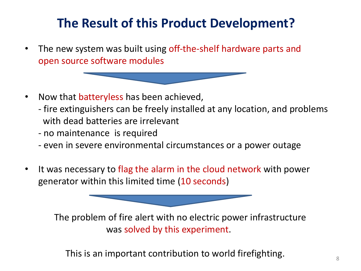## **The Result of this Product Development?**

- The new system was built using off-the-shelf hardware parts and open source software modules
- Now that batteryless has been achieved,
	- fire extinguishers can be freely installed at any location, and problems with dead batteries are irrelevant
	- no maintenance is required
	- even in severe environmental circumstances or a power outage
- It was necessary to flag the alarm in the cloud network with power generator within this limited time (10 seconds)

The problem of fire alert with no electric power infrastructure was solved by this experiment.

This is an important contribution to world firefighting.  $\overline{\phantom{a}}_{8}$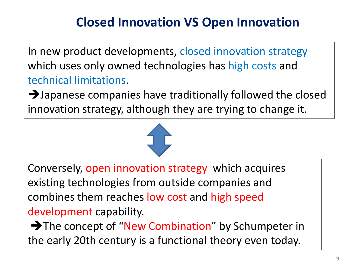## **Closed Innovation VS Open Innovation**

In new product developments, closed innovation strategy which uses only owned technologies has high costs and technical limitations.

 $\rightarrow$  Japanese companies have traditionally followed the closed innovation strategy, although they are trying to change it.

Conversely, open innovation strategy which acquires existing technologies from outside companies and combines them reaches low cost and high speed development capability.

 $\rightarrow$  The concept of "New Combination" by Schumpeter in the early 20th century is a functional theory even today.